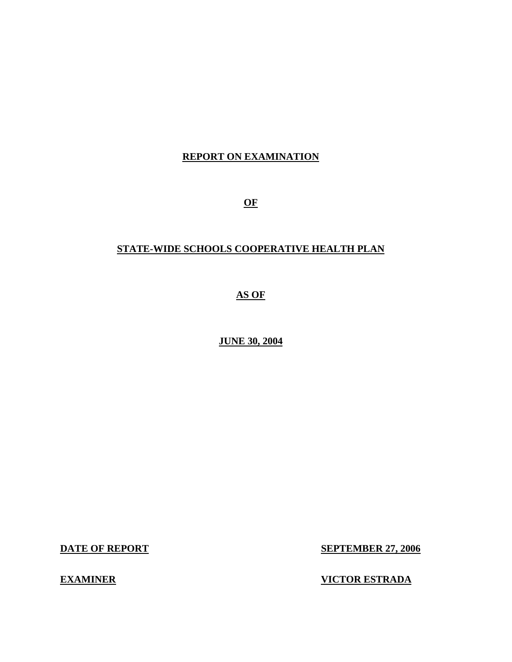# **REPORT ON EXAMINATION**

 **OF**

# **STATE-WIDE SCHOOLS COOPERATIVE HEALTH PLAN**

 **AS OF**

 **JUNE 30, 2004** 

**DATE OF REPORT** 

**SEPTEMBER 27, 2006** 

**EXAMINER** 

**VICTOR ESTRADA**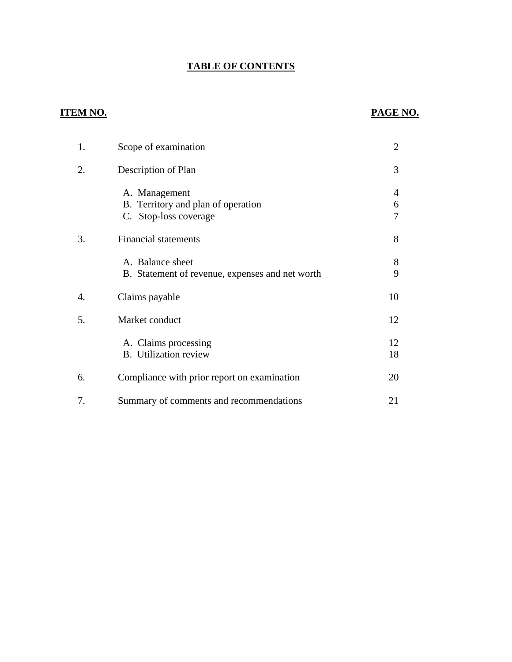# **TABLE OF CONTENTS**

# **ITEM NO.**

# **PAGE NO.**

| 1. | Scope of examination                                                         | $\overline{2}$ |
|----|------------------------------------------------------------------------------|----------------|
| 2. | Description of Plan                                                          | 3              |
|    | A. Management<br>B. Territory and plan of operation<br>C. Stop-loss coverage | 4<br>6<br>7    |
| 3. | <b>Financial statements</b>                                                  | 8              |
|    | A. Balance sheet<br>B. Statement of revenue, expenses and net worth          | 8<br>9         |
| 4. | Claims payable                                                               | 10             |
| 5. | Market conduct                                                               | 12             |
|    | A. Claims processing<br><b>B.</b> Utilization review                         | 12<br>18       |
| 6. | Compliance with prior report on examination                                  | 20             |
| 7. | Summary of comments and recommendations                                      | 21             |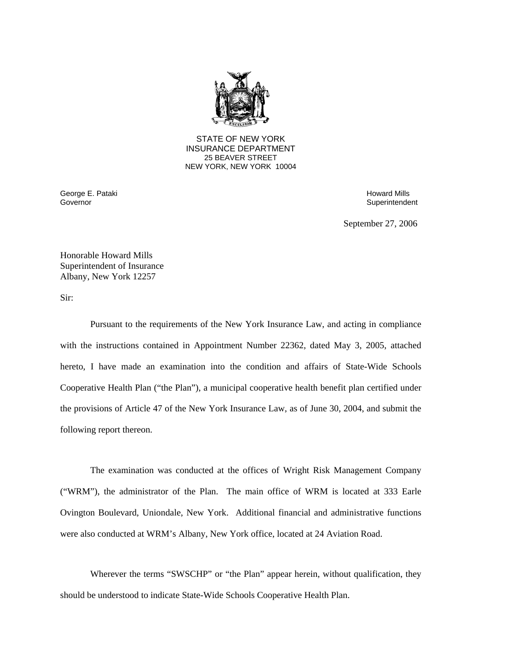

**25 BEAVER STREET** STATE OF NEW YORK INSURANCE DEPARTMENT NEW YORK, NEW YORK 10004

Governor George E. Pataki Howard Mills and The Control of the Control of the Control of the Control of the Control of the Control of the Control of the Control of the Control of the Control of the Control of the Control of the Cont

Superintendent

September 27, 2006

Honorable Howard Mills Superintendent of Insurance Albany, New York 12257

Sir:

Pursuant to the requirements of the New York Insurance Law, and acting in compliance with the instructions contained in Appointment Number 22362, dated May 3, 2005, attached hereto, I have made an examination into the condition and affairs of State-Wide Schools Cooperative Health Plan ("the Plan"), a municipal cooperative health benefit plan certified under the provisions of Article 47 of the New York Insurance Law, as of June 30, 2004, and submit the following report thereon.

The examination was conducted at the offices of Wright Risk Management Company ("WRM"), the administrator of the Plan. The main office of WRM is located at 333 Earle Ovington Boulevard, Uniondale, New York. Additional financial and administrative functions were also conducted at WRM's Albany, New York office, located at 24 Aviation Road.

Wherever the terms "SWSCHP" or "the Plan" appear herein, without qualification, they should be understood to indicate State-Wide Schools Cooperative Health Plan.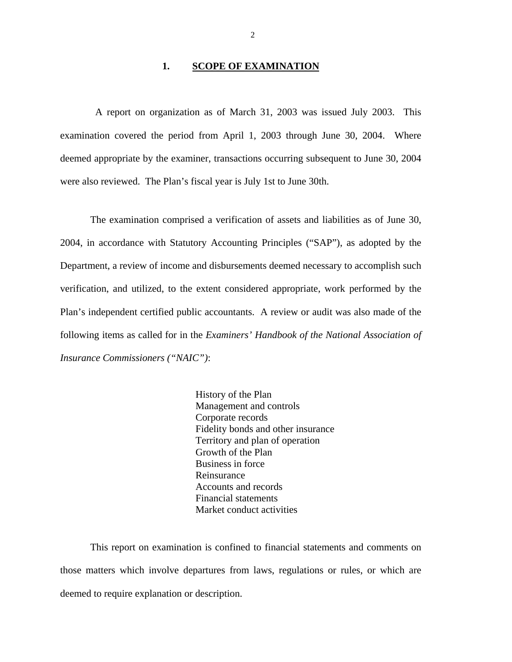#### 1. **SCOPE OF EXAMINATION**

<span id="page-3-0"></span>A report on organization as of March 31, 2003 was issued July 2003. This examination covered the period from April 1, 2003 through June 30, 2004. Where deemed appropriate by the examiner, transactions occurring subsequent to June 30, 2004 were also reviewed. The Plan's fiscal year is July 1st to June 30th.

The examination comprised a verification of assets and liabilities as of June 30, 2004, in accordance with Statutory Accounting Principles ("SAP"), as adopted by the Department, a review of income and disbursements deemed necessary to accomplish such verification, and utilized, to the extent considered appropriate, work performed by the Plan's independent certified public accountants. A review or audit was also made of the following items as called for in the *Examiners' Handbook of the National Association of Insurance Commissioners ("NAIC")*:

> History of the Plan Management and controls Corporate records Fidelity bonds and other insurance Territory and plan of operation Growth of the Plan Business in force Reinsurance Accounts and records Financial statements Market conduct activities

This report on examination is confined to financial statements and comments on those matters which involve departures from laws, regulations or rules, or which are deemed to require explanation or description.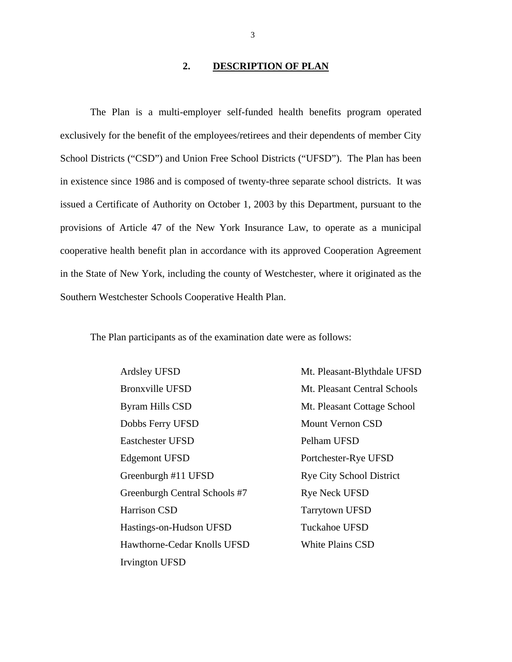#### **2. DESCRIPTION OF PLAN**

<span id="page-4-0"></span>The Plan is a multi-employer self-funded health benefits program operated exclusively for the benefit of the employees/retirees and their dependents of member City School Districts ("CSD") and Union Free School Districts ("UFSD"). The Plan has been in existence since 1986 and is composed of twenty-three separate school districts. It was issued a Certificate of Authority on October 1, 2003 by this Department, pursuant to the provisions of Article 47 of the New York Insurance Law, to operate as a municipal cooperative health benefit plan in accordance with its approved Cooperation Agreement in the State of New York, including the county of Westchester, where it originated as the Southern Westchester Schools Cooperative Health Plan.

The Plan participants as of the examination date were as follows:

 Irvington UFSD Bronxville UFSD Mt. Pleasant Central Schools Byram Hills CSD Mt. Pleasant Cottage School Dobbs Ferry UFSD Mount Vernon CSD Eastchester UFSD Edgemont UFSD Portchester-Rye UFSD Greenburgh #11 UFSD Rye City School District Greenburgh Central Schools #7 Rye Neck UFSD Harrison CSD Tarrytown UFSD Hastings-on-Hudson UFSD Tuckahoe UFSD Hawthorne-Cedar Knolls UFSD White Plains CSD

Pelham UFSD Ardsley UFSD Mt. Pleasant-Blythdale UFSD

3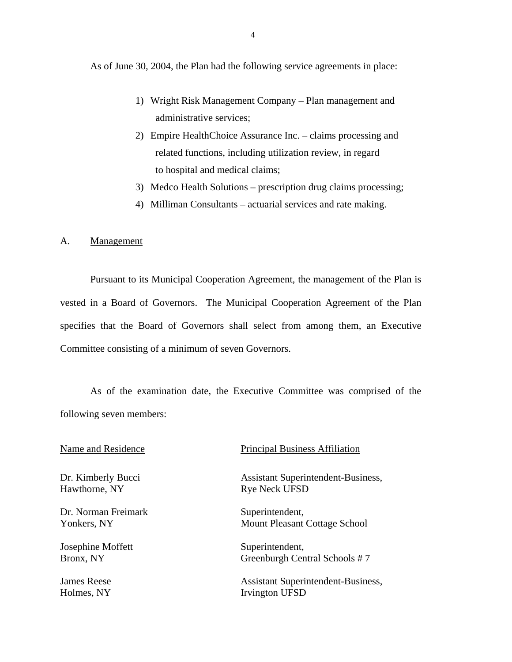As of June 30, 2004, the Plan had the following service agreements in place:

- 1) Wright Risk Management Company Plan management and administrative services;
- 2) Empire HealthChoice Assurance Inc. claims processing and related functions, including utilization review, in regard to hospital and medical claims;
- 3) Medco Health Solutions prescription drug claims processing;
- 4) Milliman Consultants actuarial services and rate making.

#### A. Management

Pursuant to its Municipal Cooperation Agreement, the management of the Plan is vested in a Board of Governors. The Municipal Cooperation Agreement of the Plan specifies that the Board of Governors shall select from among them, an Executive Committee consisting of a minimum of seven Governors.

As of the examination date, the Executive Committee was comprised of the following seven members:

Dr. Kimberly Bucci Hawthorne, NY

Dr. Norman Freimark Yonkers, NY

Josephine Moffett Bronx, NY

James Reese Holmes, NY

## Name and Residence Principal Business Affiliation

 Assistant Superintendent-Business, Rye Neck UFSD

Superintendent, Mount Pleasant Cottage School

Superintendent, Greenburgh Central Schools # 7

 Assistant Superintendent-Business, Irvington UFSD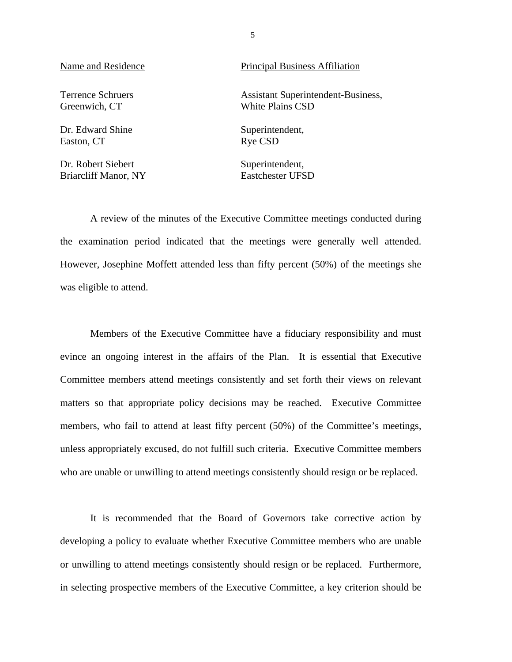Terrence Schruers Greenwich, CT

Dr. Edward Shine Easton, CT

Dr. Robert Siebert Briarcliff Manor, NY

#### Name and Residence Principal Business Affiliation

 White Plains CSD Assistant Superintendent-Business,

> Superintendent, Rye CSD

Superintendent, Eastchester UFSD

A review of the minutes of the Executive Committee meetings conducted during the examination period indicated that the meetings were generally well attended. However, Josephine Moffett attended less than fifty percent (50%) of the meetings she was eligible to attend.

Members of the Executive Committee have a fiduciary responsibility and must evince an ongoing interest in the affairs of the Plan. It is essential that Executive Committee members attend meetings consistently and set forth their views on relevant matters so that appropriate policy decisions may be reached. Executive Committee members, who fail to attend at least fifty percent (50%) of the Committee's meetings, unless appropriately excused, do not fulfill such criteria. Executive Committee members who are unable or unwilling to attend meetings consistently should resign or be replaced.

It is recommended that the Board of Governors take corrective action by developing a policy to evaluate whether Executive Committee members who are unable or unwilling to attend meetings consistently should resign or be replaced. Furthermore, in selecting prospective members of the Executive Committee, a key criterion should be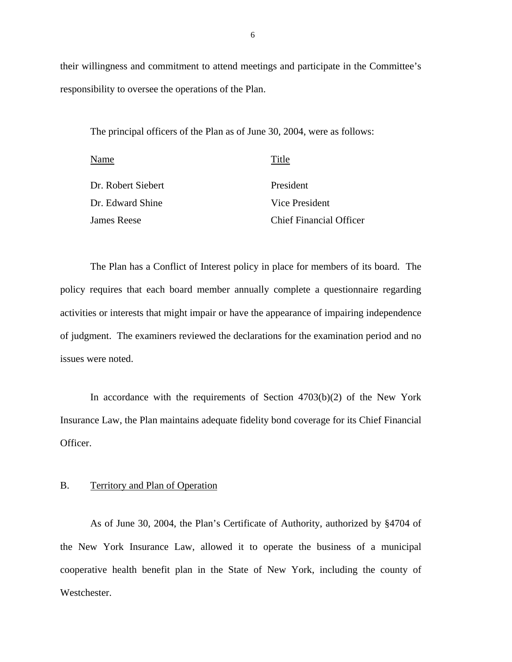their willingness and commitment to attend meetings and participate in the Committee's responsibility to oversee the operations of the Plan.

The principal officers of the Plan as of June 30, 2004, were as follows:

| Name               | Title                          |
|--------------------|--------------------------------|
| Dr. Robert Siebert | President                      |
| Dr. Edward Shine   | Vice President                 |
| <b>James Reese</b> | <b>Chief Financial Officer</b> |

The Plan has a Conflict of Interest policy in place for members of its board. The policy requires that each board member annually complete a questionnaire regarding activities or interests that might impair or have the appearance of impairing independence of judgment. The examiners reviewed the declarations for the examination period and no issues were noted.

In accordance with the requirements of Section  $4703(b)(2)$  of the New York Insurance Law, the Plan maintains adequate fidelity bond coverage for its Chief Financial Officer.

#### B. Territory and Plan of Operation

As of June 30, 2004, the Plan's Certificate of Authority, authorized by §4704 of the New York Insurance Law, allowed it to operate the business of a municipal cooperative health benefit plan in the State of New York, including the county of Westchester.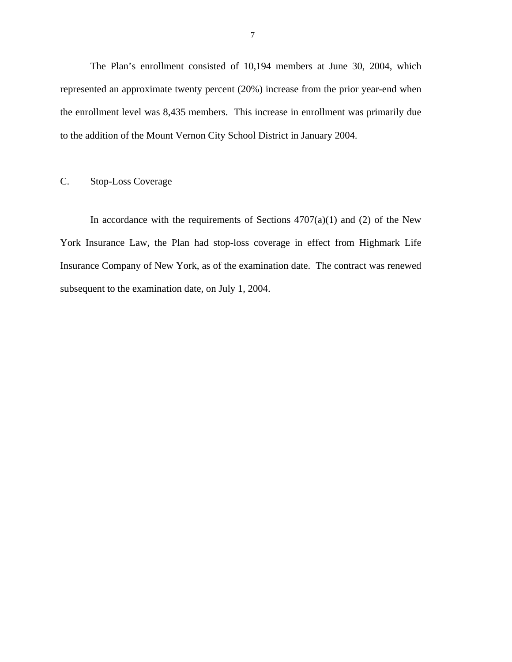<span id="page-8-0"></span>The Plan's enrollment consisted of 10,194 members at June 30, 2004, which represented an approximate twenty percent (20%) increase from the prior year-end when the enrollment level was 8,435 members. This increase in enrollment was primarily due to the addition of the Mount Vernon City School District in January 2004.

# C. Stop-Loss Coverage

In accordance with the requirements of Sections  $4707(a)(1)$  and (2) of the New York Insurance Law, the Plan had stop-loss coverage in effect from Highmark Life Insurance Company of New York, as of the examination date. The contract was renewed subsequent to the examination date, on July 1, 2004.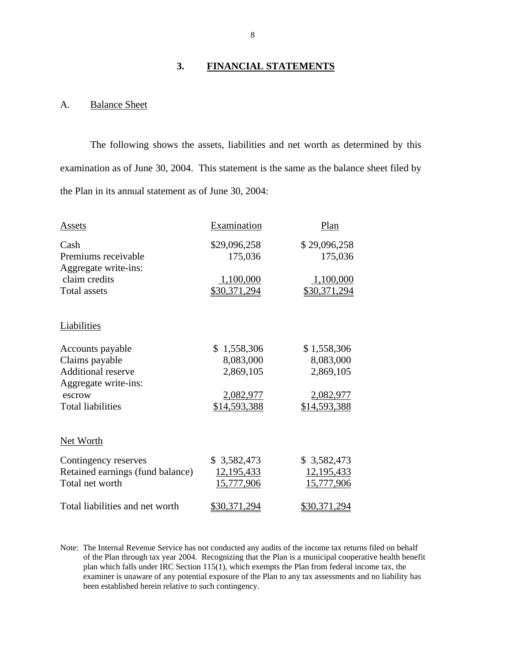#### **3. FINANCIAL STATEMENTS**

# A. Balance Sheet

The following shows the assets, liabilities and net worth as determined by this examination as of June 30, 2004. This statement is the same as the balance sheet filed by the Plan in its annual statement as of June 30, 2004:

| Assets                                                                                                                        | Examination                                                        | Plan                                                               |
|-------------------------------------------------------------------------------------------------------------------------------|--------------------------------------------------------------------|--------------------------------------------------------------------|
| Cash<br>Premiums receivable                                                                                                   | \$29,096,258<br>175,036                                            | \$29,096,258<br>175,036                                            |
| Aggregate write-ins:<br>claim credits<br><b>Total assets</b>                                                                  | 1,100,000<br>\$30,371,294                                          | 1,100,000<br>\$30,371,294                                          |
| Liabilities                                                                                                                   |                                                                    |                                                                    |
| Accounts payable<br>Claims payable<br><b>Additional reserve</b><br>Aggregate write-ins:<br>escrow<br><b>Total liabilities</b> | \$1,558,306<br>8,083,000<br>2,869,105<br>2,082,977<br>\$14,593,388 | \$1,558,306<br>8,083,000<br>2,869,105<br>2,082,977<br>\$14,593,388 |
| Net Worth                                                                                                                     |                                                                    |                                                                    |
| Contingency reserves<br>Retained earnings (fund balance)<br>Total net worth                                                   | \$3,582,473<br>12, 195, 433<br>15,777,906                          | \$3,582,473<br>12, 195, 433<br>15,777,906                          |
| Total liabilities and net worth                                                                                               | <u>\$30,371,294</u>                                                | \$30,371,294                                                       |

 Note: The Internal Revenue Service has not conducted any audits of the income tax returns filed on behalf of the Plan through tax year 2004. Recognizing that the Plan is a municipal cooperative health benefit plan which falls under IRC Section 115(1), which exempts the Plan from federal income tax, the examiner is unaware of any potential exposure of the Plan to any tax assessments and no liability has been established herein relative to such contingency.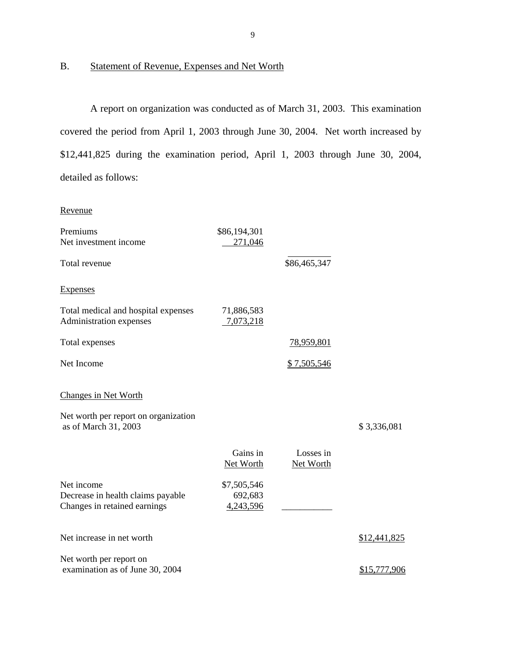# B. Statement of Revenue, Expenses and Net Worth

A report on organization was conducted as of March 31, 2003. This examination covered the period from April 1, 2003 through June 30, 2004. Net worth increased by \$12,441,825 during the examination period, April 1, 2003 through June 30, 2004, detailed as follows:

#### Revenue

| Premiums                                                                        | \$86,194,301                        |                        |              |
|---------------------------------------------------------------------------------|-------------------------------------|------------------------|--------------|
| Net investment income                                                           | 271,046                             |                        |              |
| Total revenue                                                                   |                                     | \$86,465,347           |              |
| <b>Expenses</b>                                                                 |                                     |                        |              |
| Total medical and hospital expenses<br>Administration expenses                  | 71,886,583<br>7,073,218             |                        |              |
| Total expenses                                                                  |                                     | <u>78,959,801</u>      |              |
| Net Income                                                                      |                                     | \$7,505,546            |              |
| <b>Changes in Net Worth</b>                                                     |                                     |                        |              |
| Net worth per report on organization<br>as of March 31, 2003                    |                                     |                        | \$3,336,081  |
|                                                                                 | Gains in<br>Net Worth               | Losses in<br>Net Worth |              |
| Net income<br>Decrease in health claims payable<br>Changes in retained earnings | \$7,505,546<br>692,683<br>4,243,596 |                        |              |
| Net increase in net worth                                                       |                                     |                        | \$12,441,825 |
| Net worth per report on<br>examination as of June 30, 2004                      |                                     |                        | \$15,777,906 |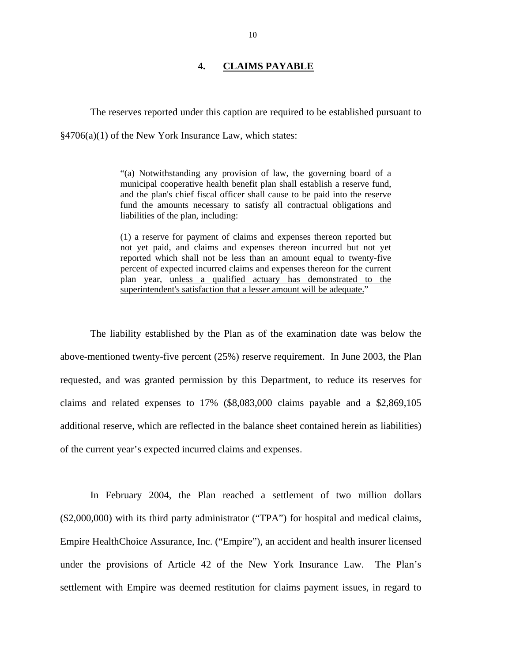## **4. CLAIMS PAYABLE**

<span id="page-11-0"></span>The reserves reported under this caption are required to be established pursuant to §4706(a)(1) of the New York Insurance Law, which states:

> "(a) Notwithstanding any provision of law, the governing board of a municipal cooperative health benefit plan shall establish a reserve fund, and the plan's chief fiscal officer shall cause to be paid into the reserve fund the amounts necessary to satisfy all contractual obligations and liabilities of the plan, including:

> (1) a reserve for payment of claims and expenses thereon reported but not yet paid, and claims and expenses thereon incurred but not yet reported which shall not be less than an amount equal to twenty-five percent of expected incurred claims and expenses thereon for the current plan year, unless a qualified actuary has demonstrated to the superintendent's satisfaction that a lesser amount will be adequate."

The liability established by the Plan as of the examination date was below the above-mentioned twenty-five percent (25%) reserve requirement. In June 2003, the Plan requested, and was granted permission by this Department, to reduce its reserves for claims and related expenses to 17% (\$8,083,000 claims payable and a \$2,869,105 additional reserve, which are reflected in the balance sheet contained herein as liabilities) of the current year's expected incurred claims and expenses.

In February 2004, the Plan reached a settlement of two million dollars (\$2,000,000) with its third party administrator ("TPA") for hospital and medical claims, Empire HealthChoice Assurance, Inc. ("Empire"), an accident and health insurer licensed under the provisions of Article 42 of the New York Insurance Law. The Plan's settlement with Empire was deemed restitution for claims payment issues, in regard to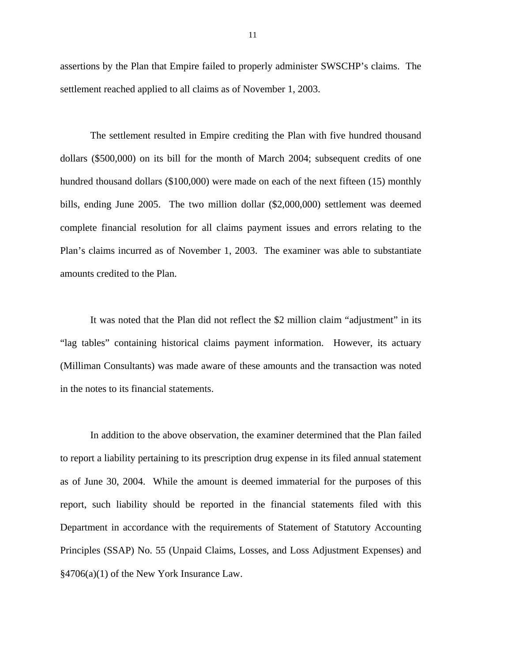assertions by the Plan that Empire failed to properly administer SWSCHP's claims. The settlement reached applied to all claims as of November 1, 2003.

The settlement resulted in Empire crediting the Plan with five hundred thousand dollars (\$500,000) on its bill for the month of March 2004; subsequent credits of one hundred thousand dollars (\$100,000) were made on each of the next fifteen (15) monthly bills, ending June 2005. The two million dollar (\$2,000,000) settlement was deemed complete financial resolution for all claims payment issues and errors relating to the Plan's claims incurred as of November 1, 2003. The examiner was able to substantiate amounts credited to the Plan.

It was noted that the Plan did not reflect the \$2 million claim "adjustment" in its "lag tables" containing historical claims payment information. However, its actuary (Milliman Consultants) was made aware of these amounts and the transaction was noted in the notes to its financial statements.

In addition to the above observation, the examiner determined that the Plan failed to report a liability pertaining to its prescription drug expense in its filed annual statement as of June 30, 2004. While the amount is deemed immaterial for the purposes of this report, such liability should be reported in the financial statements filed with this Department in accordance with the requirements of Statement of Statutory Accounting Principles (SSAP) No. 55 (Unpaid Claims, Losses, and Loss Adjustment Expenses) and §4706(a)(1) of the New York Insurance Law.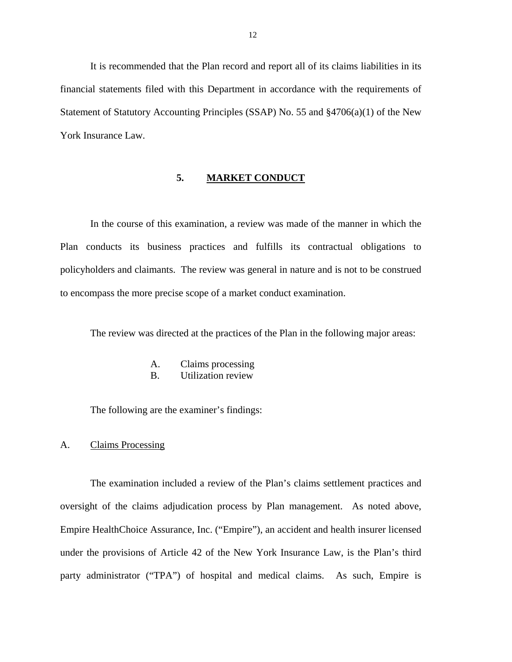<span id="page-13-0"></span>It is recommended that the Plan record and report all of its claims liabilities in its financial statements filed with this Department in accordance with the requirements of Statement of Statutory Accounting Principles (SSAP) No. 55 and §4706(a)(1) of the New York Insurance Law.

#### **5. MARKET CONDUCT**

In the course of this examination, a review was made of the manner in which the Plan conducts its business practices and fulfills its contractual obligations to policyholders and claimants. The review was general in nature and is not to be construed to encompass the more precise scope of a market conduct examination.

The review was directed at the practices of the Plan in the following major areas:

- A. Claims processing
- B. Utilization review

The following are the examiner's findings:

#### A. Claims Processing

The examination included a review of the Plan's claims settlement practices and oversight of the claims adjudication process by Plan management. As noted above, Empire HealthChoice Assurance, Inc. ("Empire"), an accident and health insurer licensed under the provisions of Article 42 of the New York Insurance Law, is the Plan's third party administrator ("TPA") of hospital and medical claims. As such, Empire is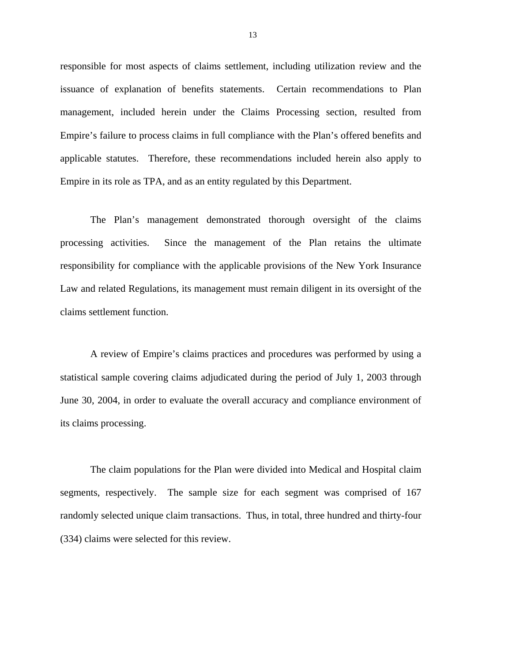responsible for most aspects of claims settlement, including utilization review and the issuance of explanation of benefits statements. Certain recommendations to Plan management, included herein under the Claims Processing section, resulted from Empire's failure to process claims in full compliance with the Plan's offered benefits and applicable statutes. Therefore, these recommendations included herein also apply to Empire in its role as TPA, and as an entity regulated by this Department.

The Plan's management demonstrated thorough oversight of the claims processing activities. Since the management of the Plan retains the ultimate responsibility for compliance with the applicable provisions of the New York Insurance Law and related Regulations, its management must remain diligent in its oversight of the claims settlement function.

A review of Empire's claims practices and procedures was performed by using a statistical sample covering claims adjudicated during the period of July 1, 2003 through June 30, 2004, in order to evaluate the overall accuracy and compliance environment of its claims processing.

The claim populations for the Plan were divided into Medical and Hospital claim segments, respectively. The sample size for each segment was comprised of 167 randomly selected unique claim transactions. Thus, in total, three hundred and thirty-four (334) claims were selected for this review.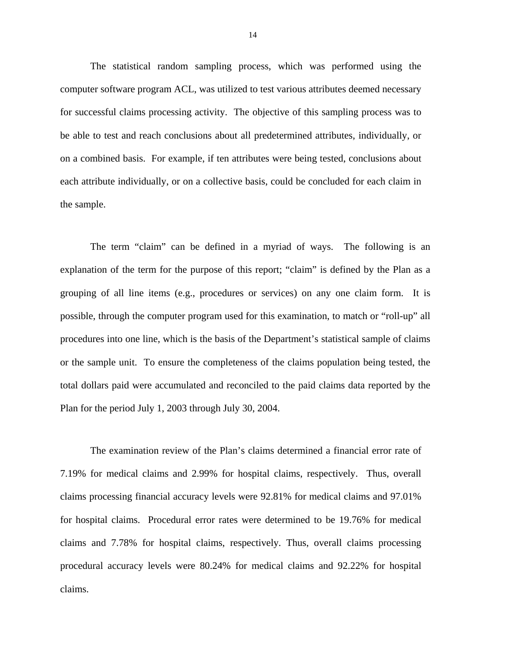The statistical random sampling process, which was performed using the computer software program ACL, was utilized to test various attributes deemed necessary for successful claims processing activity. The objective of this sampling process was to be able to test and reach conclusions about all predetermined attributes, individually, or on a combined basis. For example, if ten attributes were being tested, conclusions about each attribute individually, or on a collective basis, could be concluded for each claim in the sample.

The term "claim" can be defined in a myriad of ways. The following is an explanation of the term for the purpose of this report; "claim" is defined by the Plan as a grouping of all line items (e.g., procedures or services) on any one claim form. It is possible, through the computer program used for this examination, to match or "roll-up" all procedures into one line, which is the basis of the Department's statistical sample of claims or the sample unit. To ensure the completeness of the claims population being tested, the total dollars paid were accumulated and reconciled to the paid claims data reported by the Plan for the period July 1, 2003 through July 30, 2004.

The examination review of the Plan's claims determined a financial error rate of 7.19% for medical claims and 2.99% for hospital claims, respectively. Thus, overall claims processing financial accuracy levels were 92.81% for medical claims and 97.01% for hospital claims. Procedural error rates were determined to be 19.76% for medical claims and 7.78% for hospital claims, respectively. Thus, overall claims processing procedural accuracy levels were 80.24% for medical claims and 92.22% for hospital claims.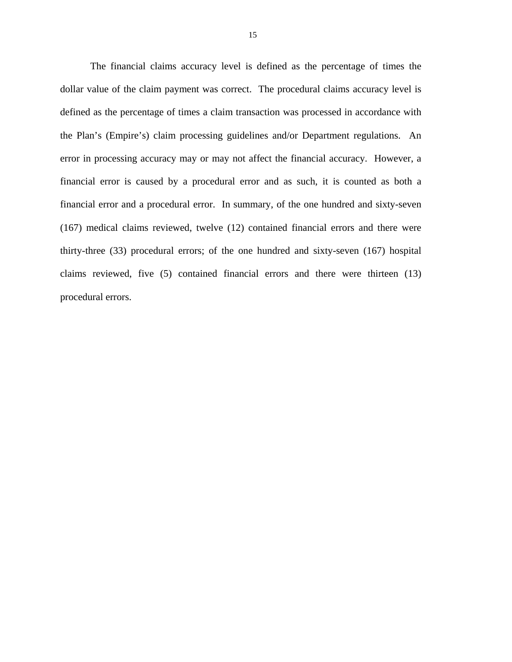The financial claims accuracy level is defined as the percentage of times the dollar value of the claim payment was correct. The procedural claims accuracy level is defined as the percentage of times a claim transaction was processed in accordance with the Plan's (Empire's) claim processing guidelines and/or Department regulations. An error in processing accuracy may or may not affect the financial accuracy. However, a financial error is caused by a procedural error and as such, it is counted as both a financial error and a procedural error. In summary, of the one hundred and sixty-seven (167) medical claims reviewed, twelve (12) contained financial errors and there were thirty-three (33) procedural errors; of the one hundred and sixty-seven (167) hospital claims reviewed, five (5) contained financial errors and there were thirteen (13) procedural errors.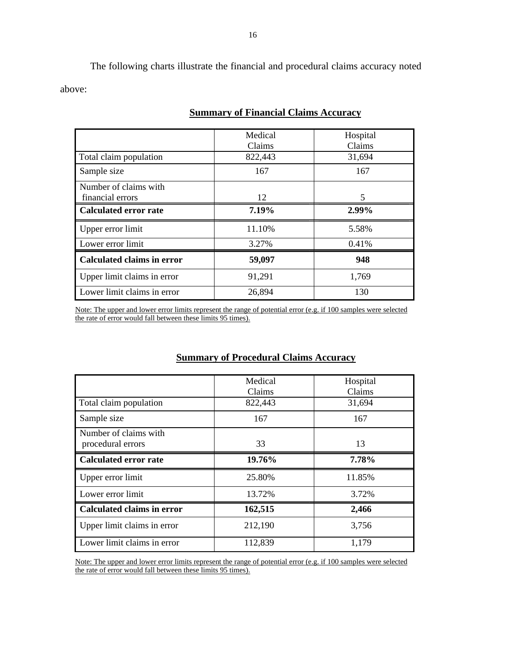The following charts illustrate the financial and procedural claims accuracy noted above:

|                                           | Medical<br>Claims | Hospital<br>Claims |
|-------------------------------------------|-------------------|--------------------|
| Total claim population                    | 822,443           | 31,694             |
| Sample size                               | 167               | 167                |
| Number of claims with<br>financial errors | 12                | 5                  |
| <b>Calculated error rate</b>              | 7.19%             | 2.99%              |
| Upper error limit                         | 11.10%            | 5.58%              |
| Lower error limit                         | 3.27%             | 0.41%              |
| <b>Calculated claims in error</b>         | 59,097            | 948                |
| Upper limit claims in error               | 91,291            | 1,769              |
| Lower limit claims in error               | 26,894            | 130                |

# **Summary of Financial Claims Accuracy**

Note: The upper and lower error limits represent the range of potential error (e.g. if 100 samples were selected the rate of error would fall between these limits 95 times).

# **Summary of Procedural Claims Accuracy**

|                                   | Medical | Hospital |
|-----------------------------------|---------|----------|
|                                   | Claims  | Claims   |
|                                   |         |          |
| Total claim population            | 822,443 | 31,694   |
| Sample size                       | 167     | 167      |
| Number of claims with             |         |          |
| procedural errors                 | 33      | 13       |
|                                   |         |          |
| <b>Calculated error rate</b>      | 19.76%  | 7.78%    |
| Upper error limit                 | 25.80%  | 11.85%   |
| Lower error limit                 | 13.72%  | 3.72%    |
| <b>Calculated claims in error</b> | 162,515 | 2,466    |
| Upper limit claims in error       | 212,190 | 3,756    |
| Lower limit claims in error       | 112,839 | 1,179    |

Note: The upper and lower error limits represent the range of potential error (e.g. if 100 samples were selected the rate of error would fall between these limits 95 times).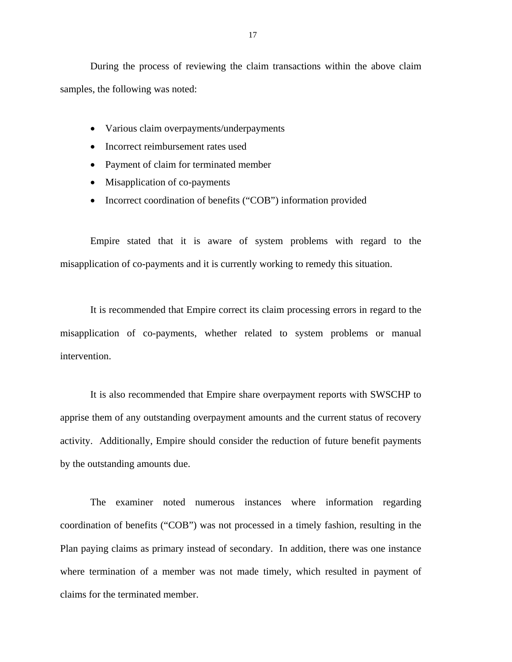During the process of reviewing the claim transactions within the above claim samples, the following was noted:

- Various claim overpayments/underpayments
- Incorrect reimbursement rates used
- Payment of claim for terminated member
- Misapplication of co-payments
- Incorrect coordination of benefits ("COB") information provided

Empire stated that it is aware of system problems with regard to the misapplication of co-payments and it is currently working to remedy this situation.

It is recommended that Empire correct its claim processing errors in regard to the misapplication of co-payments, whether related to system problems or manual intervention.

It is also recommended that Empire share overpayment reports with SWSCHP to apprise them of any outstanding overpayment amounts and the current status of recovery activity. Additionally, Empire should consider the reduction of future benefit payments by the outstanding amounts due.

The examiner noted numerous instances where information regarding coordination of benefits ("COB") was not processed in a timely fashion, resulting in the Plan paying claims as primary instead of secondary. In addition, there was one instance where termination of a member was not made timely, which resulted in payment of claims for the terminated member.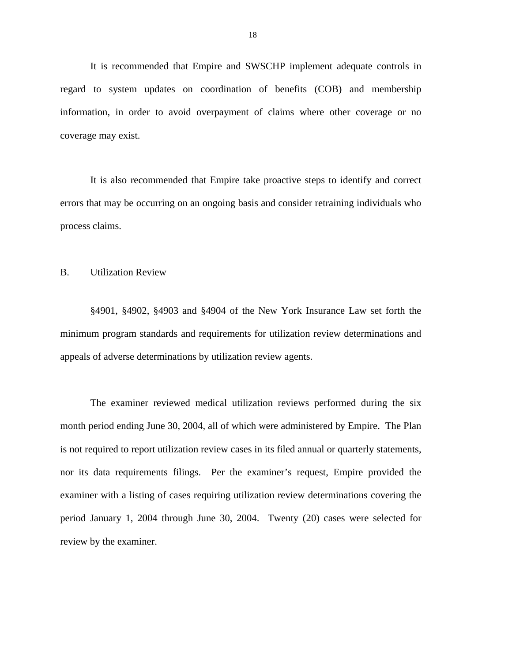<span id="page-19-0"></span>It is recommended that Empire and SWSCHP implement adequate controls in regard to system updates on coordination of benefits (COB) and membership information, in order to avoid overpayment of claims where other coverage or no coverage may exist.

It is also recommended that Empire take proactive steps to identify and correct errors that may be occurring on an ongoing basis and consider retraining individuals who process claims.

#### B. Utilization Review

§4901, §4902, §4903 and §4904 of the New York Insurance Law set forth the minimum program standards and requirements for utilization review determinations and appeals of adverse determinations by utilization review agents.

The examiner reviewed medical utilization reviews performed during the six month period ending June 30, 2004, all of which were administered by Empire. The Plan is not required to report utilization review cases in its filed annual or quarterly statements, nor its data requirements filings. Per the examiner's request, Empire provided the examiner with a listing of cases requiring utilization review determinations covering the period January 1, 2004 through June 30, 2004. Twenty (20) cases were selected for review by the examiner.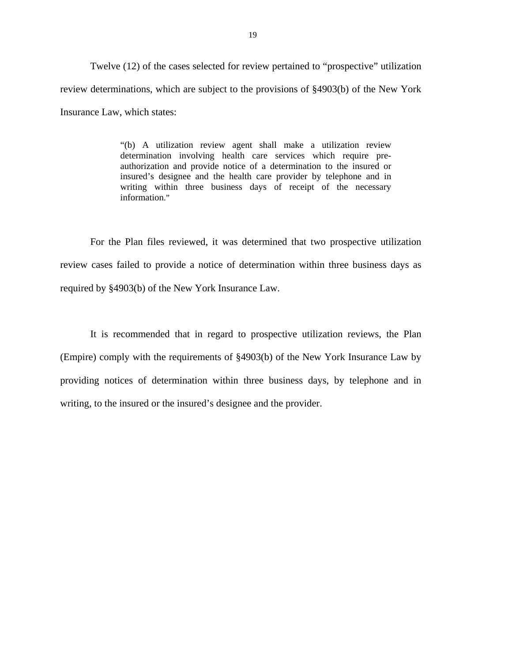Twelve (12) of the cases selected for review pertained to "prospective" utilization review determinations, which are subject to the provisions of §4903(b) of the New York Insurance Law, which states:

> "(b) A utilization review agent shall make a utilization review determination involving health care services which require preauthorization and provide notice of a determination to the insured or insured's designee and the health care provider by telephone and in writing within three business days of receipt of the necessary information."

For the Plan files reviewed, it was determined that two prospective utilization review cases failed to provide a notice of determination within three business days as required by §4903(b) of the New York Insurance Law.

It is recommended that in regard to prospective utilization reviews, the Plan (Empire) comply with the requirements of §4903(b) of the New York Insurance Law by providing notices of determination within three business days, by telephone and in writing, to the insured or the insured's designee and the provider.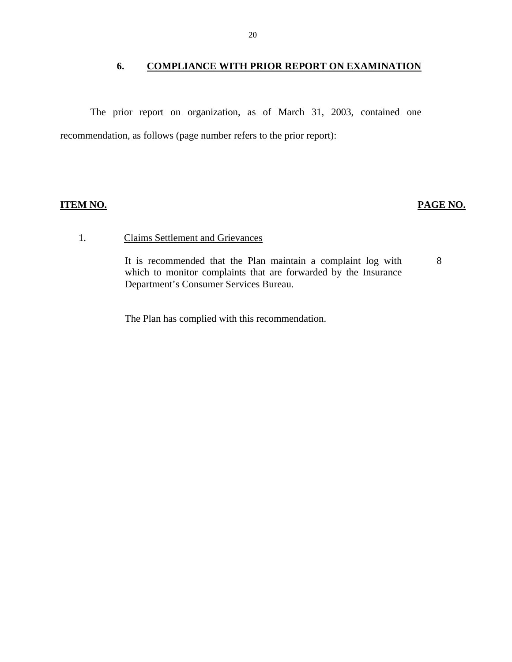## **6. COMPLIANCE WITH PRIOR REPORT ON EXAMINATION**

<span id="page-21-0"></span>The prior report on organization, as of March 31, 2003, contained one recommendation, as follows (page number refers to the prior report):

## **ITEM NO.**

# **PAGE NO.**

## **Claims Settlement and Grievances**

1. Claims Settlement and Grievances<br>It is recommended that the Plan maintain a complaint log with 8 which to monitor complaints that are forwarded by the Insurance Department's Consumer Services Bureau.

The Plan has complied with this recommendation.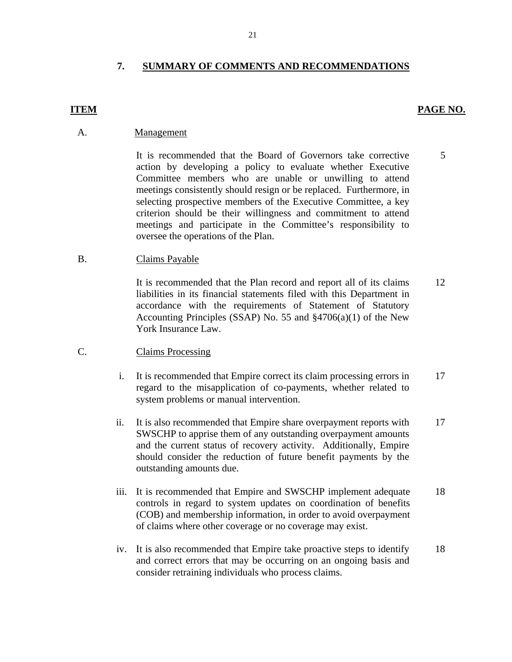# **7. SUMMARY OF COMMENTS AND RECOMMENDATIONS**

### **ITEM** PAGE NO.

Management

A. **Management**<br>It is recommended that the Board of Governors take corrective action by developing a policy to evaluate whether Executive Committee members who are unable or unwilling to attend meetings consistently should resign or be replaced. Furthermore, in selecting prospective members of the Executive Committee, a key criterion should be their willingness and commitment to attend meetings and participate in the Committee's responsibility to oversee the operations of the Plan. 5

B. Claims Payable

It is recommended that the Plan record and report all of its claims liabilities in its financial statements filed with this Department in accordance with the requirements of Statement of Statutory Accounting Principles (SSAP) No. 55 and §4706(a)(1) of the New York Insurance Law. 12

- **Claims Processing**
- C. Claims Processing<br>
i. It is recommended that Empire correct its claim processing errors in regard to the misapplication of co-payments, whether related to system problems or manual intervention. 17
	- ii. It is also recommended that Empire share overpayment reports with SWSCHP to apprise them of any outstanding overpayment amounts and the current status of recovery activity. Additionally, Empire should consider the reduction of future benefit payments by the outstanding amounts due. 17
	- iii. It is recommended that Empire and SWSCHP implement adequate controls in regard to system updates on coordination of benefits (COB) and membership information, in order to avoid overpayment of claims where other coverage or no coverage may exist. 18
	- iv. It is also recommended that Empire take proactive steps to identify and correct errors that may be occurring on an ongoing basis and consider retraining individuals who process claims. 18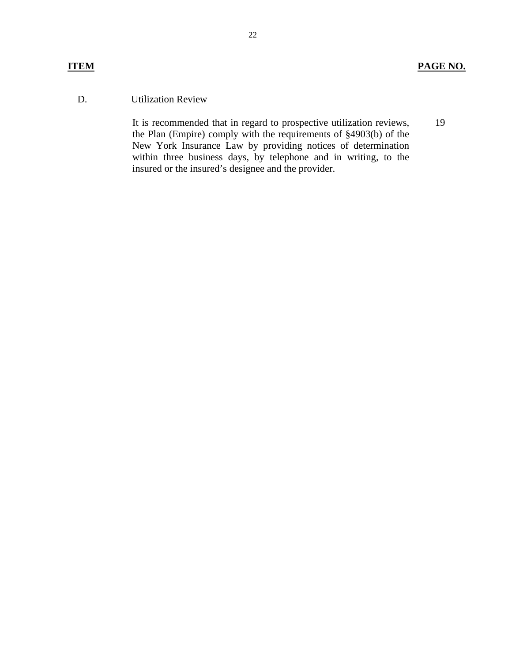# D. Utilization Review

It is recommended that in regard to prospective utilization reviews, the Plan (Empire) comply with the requirements of §4903(b) of the New York Insurance Law by providing notices of determination within three business days, by telephone and in writing, to the insured or the insured's designee and the provider. 19